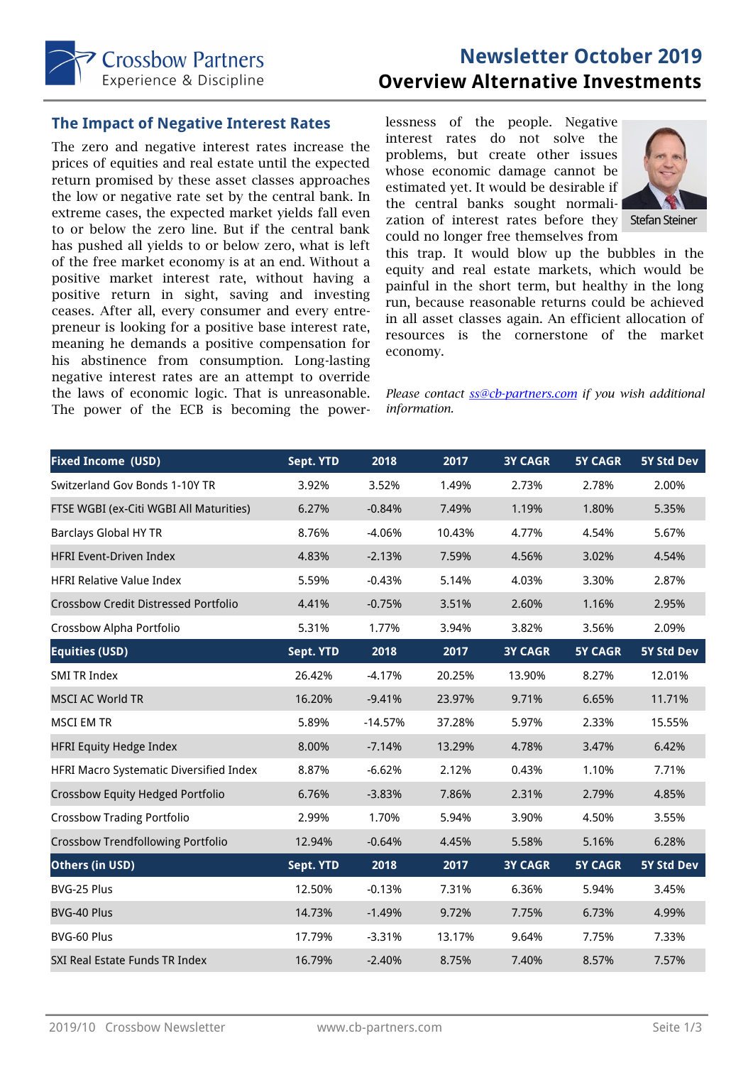

# **Newsletter October 2019 Overview Alternative Investments**

#### **The Impact of Negative Interest Rates**

The zero and negative interest rates increase the prices of equities and real estate until the expected return promised by these asset classes approaches the low or negative rate set by the central bank. In extreme cases, the expected market yields fall even to or below the zero line. But if the central bank has pushed all yields to or below zero, what is left of the free market economy is at an end. Without a positive market interest rate, without having a positive return in sight, saving and investing ceases. After all, every consumer and every entrepreneur is looking for a positive base interest rate, meaning he demands a positive compensation for his abstinence from consumption. Long-lasting negative interest rates are an attempt to override the laws of economic logic. That is unreasonable. The power of the ECB is becoming the powerlessness of the people. Negative interest rates do not solve the problems, but create other issues whose economic damage cannot be estimated yet. It would be desirable if the central banks sought normalization of interest rates before they Stefan Steiner could no longer free themselves from



this trap. It would blow up the bubbles in the equity and real estate markets, which would be painful in the short term, but healthy in the long run, because reasonable returns could be achieved in all asset classes again. An efficient allocation of resources is the cornerstone of the market economy.

*Please contact ss@cb-partners.com if you wish additional information.* 

| <b>Fixed Income (USD)</b>                   | Sept. YTD | 2018      | 2017   | <b>3Y CAGR</b> | <b>5Y CAGR</b> | 5Y Std Dev |
|---------------------------------------------|-----------|-----------|--------|----------------|----------------|------------|
| Switzerland Gov Bonds 1-10Y TR              | 3.92%     | 3.52%     | 1.49%  | 2.73%          | 2.78%          | 2.00%      |
| FTSE WGBI (ex-Citi WGBI All Maturities)     | 6.27%     | $-0.84%$  | 7.49%  | 1.19%          | 1.80%          | 5.35%      |
| <b>Barclays Global HY TR</b>                | 8.76%     | $-4.06%$  | 10.43% | 4.77%          | 4.54%          | 5.67%      |
| <b>HFRI Event-Driven Index</b>              | 4.83%     | $-2.13%$  | 7.59%  | 4.56%          | 3.02%          | 4.54%      |
| <b>HFRI Relative Value Index</b>            | 5.59%     | $-0.43%$  | 5.14%  | 4.03%          | 3.30%          | 2.87%      |
| <b>Crossbow Credit Distressed Portfolio</b> | 4.41%     | $-0.75%$  | 3.51%  | 2.60%          | 1.16%          | 2.95%      |
| Crossbow Alpha Portfolio                    | 5.31%     | 1.77%     | 3.94%  | 3.82%          | 3.56%          | 2.09%      |
| <b>Equities (USD)</b>                       | Sept. YTD | 2018      | 2017   | <b>3Y CAGR</b> | <b>5Y CAGR</b> | 5Y Std Dev |
| <b>SMI TR Index</b>                         | 26.42%    | $-4.17%$  | 20.25% | 13.90%         | 8.27%          | 12.01%     |
| <b>MSCI AC World TR</b>                     | 16.20%    | $-9.41%$  | 23.97% | 9.71%          | 6.65%          | 11.71%     |
| <b>MSCI EM TR</b>                           | 5.89%     | $-14.57%$ | 37.28% | 5.97%          | 2.33%          | 15.55%     |
| <b>HFRI Equity Hedge Index</b>              | 8.00%     | $-7.14%$  | 13.29% | 4.78%          | 3.47%          | 6.42%      |
| HFRI Macro Systematic Diversified Index     | 8.87%     | $-6.62%$  | 2.12%  | 0.43%          | 1.10%          | 7.71%      |
| Crossbow Equity Hedged Portfolio            | 6.76%     | $-3.83%$  | 7.86%  | 2.31%          | 2.79%          | 4.85%      |
| <b>Crossbow Trading Portfolio</b>           | 2.99%     | 1.70%     | 5.94%  | 3.90%          | 4.50%          | 3.55%      |
| <b>Crossbow Trendfollowing Portfolio</b>    | 12.94%    | $-0.64%$  | 4.45%  | 5.58%          | 5.16%          | 6.28%      |
| Others (in USD)                             | Sept. YTD | 2018      | 2017   | <b>3Y CAGR</b> | <b>5Y CAGR</b> | 5Y Std Dev |
| BVG-25 Plus                                 | 12.50%    | $-0.13%$  | 7.31%  | 6.36%          | 5.94%          | 3.45%      |
| BVG-40 Plus                                 | 14.73%    | $-1.49%$  | 9.72%  | 7.75%          | 6.73%          | 4.99%      |
| BVG-60 Plus                                 | 17.79%    | $-3.31%$  | 13.17% | 9.64%          | 7.75%          | 7.33%      |
| SXI Real Estate Funds TR Index              | 16.79%    | $-2.40%$  | 8.75%  | 7.40%          | 8.57%          | 7.57%      |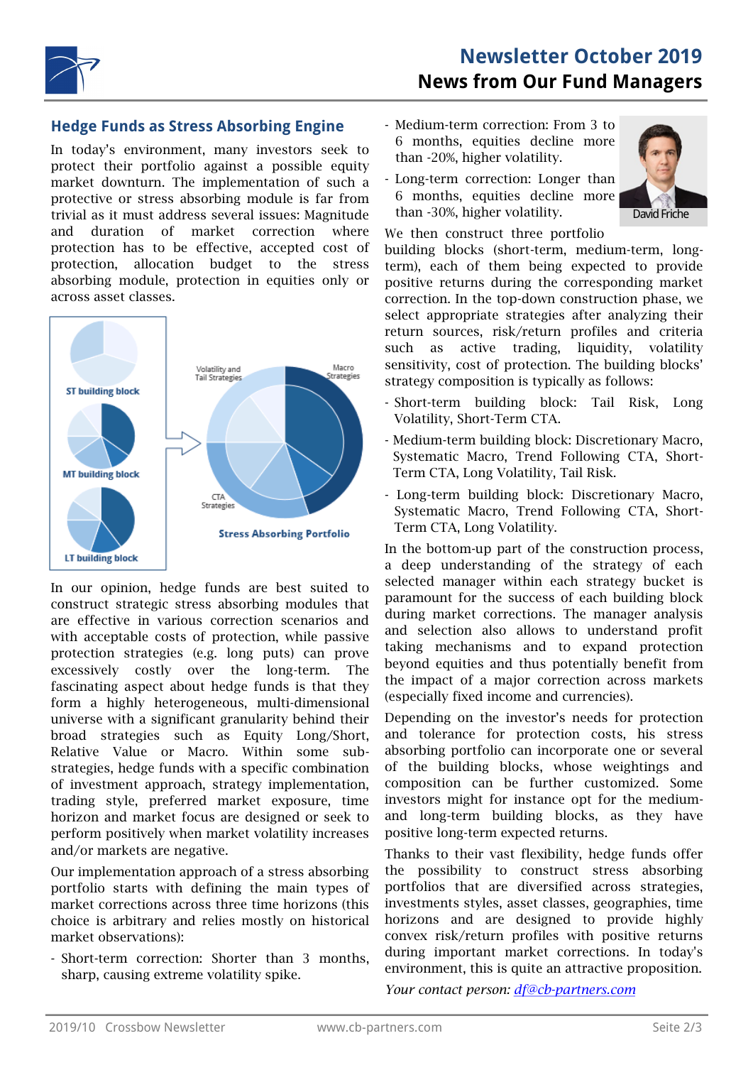

## **Hedge Funds as Stress Absorbing Engine**

In today's environment, many investors seek to protect their portfolio against a possible equity market downturn. The implementation of such a protective or stress absorbing module is far from trivial as it must address several issues: Magnitude and duration of market correction where protection has to be effective, accepted cost of protection, allocation budget to the stress absorbing module, protection in equities only or across asset classes.



In our opinion, hedge funds are best suited to construct strategic stress absorbing modules that are effective in various correction scenarios and with acceptable costs of protection, while passive protection strategies (e.g. long puts) can prove excessively costly over the long-term. The fascinating aspect about hedge funds is that they form a highly heterogeneous, multi-dimensional universe with a significant granularity behind their broad strategies such as Equity Long/Short, Relative Value or Macro. Within some substrategies, hedge funds with a specific combination of investment approach, strategy implementation, trading style, preferred market exposure, time horizon and market focus are designed or seek to perform positively when market volatility increases and/or markets are negative.

Our implementation approach of a stress absorbing portfolio starts with defining the main types of market corrections across three time horizons (this choice is arbitrary and relies mostly on historical market observations):

- Short-term correction: Shorter than 3 months, sharp, causing extreme volatility spike.

- Medium-term correction: From 3 to 6 months, equities decline more than -20%, higher volatility.
- Long-term correction: Longer than 6 months, equities decline more than -30%, higher volatility.



We then construct three portfolio

building blocks (short-term, medium-term, longterm), each of them being expected to provide positive returns during the corresponding market correction. In the top-down construction phase, we select appropriate strategies after analyzing their return sources, risk/return profiles and criteria such as active trading, liquidity, volatility sensitivity, cost of protection. The building blocks' strategy composition is typically as follows:

- Short-term building block: Tail Risk, Long Volatility, Short-Term CTA.
- Medium-term building block: Discretionary Macro, Systematic Macro, Trend Following CTA, Short-Term CTA, Long Volatility, Tail Risk.
- Long-term building block: Discretionary Macro, Systematic Macro, Trend Following CTA, Short-Term CTA, Long Volatility.

In the bottom-up part of the construction process, a deep understanding of the strategy of each selected manager within each strategy bucket is paramount for the success of each building block during market corrections. The manager analysis and selection also allows to understand profit taking mechanisms and to expand protection beyond equities and thus potentially benefit from the impact of a major correction across markets (especially fixed income and currencies).

Depending on the investor's needs for protection and tolerance for protection costs, his stress absorbing portfolio can incorporate one or several of the building blocks, whose weightings and composition can be further customized. Some investors might for instance opt for the mediumand long-term building blocks, as they have positive long-term expected returns.

Thanks to their vast flexibility, hedge funds offer the possibility to construct stress absorbing portfolios that are diversified across strategies, investments styles, asset classes, geographies, time horizons and are designed to provide highly convex risk/return profiles with positive returns during important market corrections. In today's environment, this is quite an attractive proposition.

*Your contact person: df@cb-partners.com*